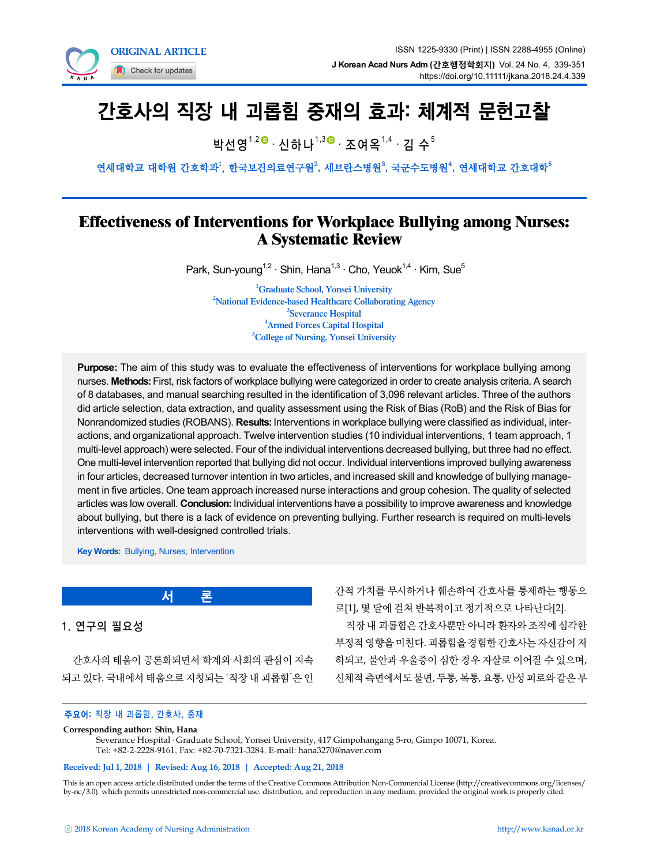

# 간호사의 직장 내 괴롭힘 중재의 효과: 체계적 문헌고찰

박선영<sup>1,2● .</sup> 신하나<sup>1,3● .</sup> 조여옥<sup>1,4 .</sup> 김 수<sup>5</sup>

연세대학교 대학원 간호학과<sup>1</sup>, 한국보건의료연구원<sup>2</sup>, 세브란스병원<sup>3</sup>, 국군수도병원<sup>4</sup>, 연세대학교 간호대학<sup>5</sup>

# Effectiveness of Interventions for Workplace Bullying among Nurses: A Systematic Review

Park, Sun-young<sup>1,2</sup> · Shin, Hana<sup>1,3</sup> · Cho, Yeuok<sup>1,4</sup> · Kim, Sue<sup>5</sup>

<sup>1</sup>Graduate School, Yonsei University <sup>2</sup>National Evidence-based Healthcare Collaborating Agency <sup>3</sup>Severance Hospital 4 Armed Forces Capital Hospital <sup>5</sup>College of Nursing, Yonsei University

**Purpose:** The aim of this study was to evaluate the effectiveness of interventions for workplace bullying among nurses. **Methods:** First, risk factors of workplace bullying were categorized in order to create analysis criteria. A search of 8 databases, and manual searching resulted in the identification of 3,096 relevant articles. Three of the authors did article selection, data extraction, and quality assessment using the Risk of Bias (RoB) and the Risk of Bias for Nonrandomized studies (ROBANS). **Results:** Interventions in workplace bullying were classified as individual, interactions, and organizational approach. Twelve intervention studies (10 individual interventions, 1 team approach, 1 multi-level approach) were selected. Four of the individual interventions decreased bullying, but three had no effect. One multi-level intervention reported that bullying did not occur. Individual interventions improved bullying awareness in four articles, decreased turnover intention in two articles, and increased skill and knowledge of bullying management in five articles. One team approach increased nurse interactions and group cohesion. The quality of selected articles was low overall. **Conclusion:** Individual interventions have a possibility to improve awareness and knowledge about bullying, but there is a lack of evidence on preventing bullying. Further research is required on multi-levels interventions with well-designed controlled trials.

**Key Words:** Bullying, Nurses, Intervention

**서 론**

간적 가치를 무시하거나 훼손하여 간호사를 통제하는 행동으 로[1], 몇 달에 걸쳐 반복적이고 정기적으로 나타난다[2]. 직장 내 괴롭힘은 간호사뿐만 아니라 환자와 조직에 심각한 부정적 영향을 미친다. 괴롭힘을 경험한 간호사는 자신감이 저 하되고, 불안과 우울증이 심한 경우 자살로 이어질 수 있으며, 신체적 측면에서도 불면, 두통, 복통, 요통, 만성 피로와 같은 부

#### 주요어: 직장 내 괴롭힘, 간호사, 중재

#### **Corresponding author: Shin, Hana**

1. 연구의 필요성

Severance Hospital ․ Graduate School, Yonsei University, 417 Gimpohangang 5-ro, Gimpo 10071, Korea. Tel: +82-2-2228-9161, Fax: +82-70-7321-3284, E-mail: hana3270@naver.com

#### **Received: Jul 1, 2018 | Revised: Aug 16, 2018 | Accepted: Aug 21, 2018**

간호사의 태움이 공론화되면서 학계와 사회의 관심이 지속 되고 있다. 국내에서 태움으로 지칭되는 '직장 내 괴롭힘'은 인

This is an open access article distributed under the terms of the Creative Commons Attribution Non-Commercial License (http://creativecommons.org/licenses/ by-nc/3.0), which permits unrestricted non-commercial use, distribution, and reproduction in any medium, provided the original work is properly cited.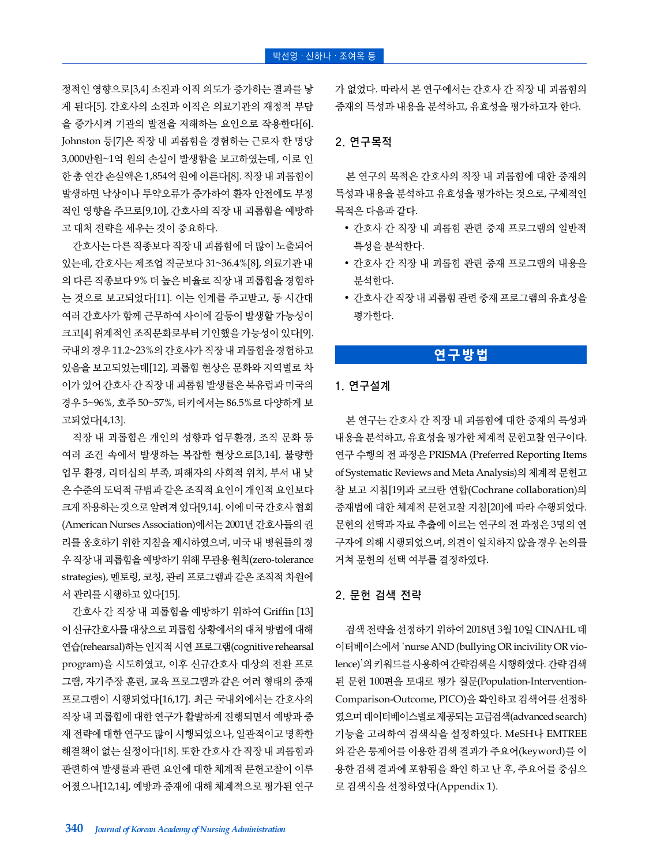정적인 영향으로[3,4] 소진과 이직 의도가 증가하는 결과를 낳 게 된다[5]. 간호사의 소진과 이직은 의료기관의 재정적 부담 을 증가시켜 기관의 발전을 저해하는 요인으로 작용한다[6]. Johnston 등[7]은 직장 내 괴롭힘을 경험하는 근로자 한 명당 3,000만원~1억 원의 손실이 발생함을 보고하였는데, 이로 인 한 총 연간 손실액은 1,854억 원에 이른다[8]. 직장 내 괴롭힘이 발생하면 낙상이나 투약오류가 증가하여 환자 안전에도 부정 적인 영향을 주므로[9,10], 간호사의 직장 내 괴롭힘을 예방하 고 대처 전략을 세우는 것이 중요하다.

간호사는 다른 직종보다 직장 내 괴롭힘에 더 많이 노출되어 있는데, 간호사는 제조업 직군보다 31~36.4%[8], 의료기관 내 의 다른 직종보다 9% 더 높은 비율로 직장 내 괴롭힘을 경험하 는 것으로 보고되었다[11]. 이는 인계를 주고받고, 동 시간대 여러 간호사가 함께 근무하여 사이에 갈등이 발생할 가능성이 크고[4] 위계적인 조직문화로부터 기인했을 가능성이 있다[9]. 국내의 경우 11.2~23%의 간호사가 직장 내 괴롭힘을 경험하고 있음을 보고되었는데[12], 괴롭힘 현상은 문화와 지역별로 차 이가 있어 간호사 간 직장 내 괴롭힘 발생률은 북유럽과 미국의 경우 5~96%, 호주 50~57%, 터키에서는 86.5%로 다양하게 보 고되었다[4,13].

직장 내 괴롭힘은 개인의 성향과 업무환경, 조직 문화 등 여러 조건 속에서 발생하는 복잡한 현상으로[3,14], 불량한 업무 환경, 리더십의 부족, 피해자의 사회적 위치, 부서 내 낮 은 수준의 도덕적 규범과 같은 조직적 요인이 개인적 요인보다 크게 작용하는 것으로 알려져 있다[9,14]. 이에 미국 간호사 협회 (American Nurses Association)에서는 2001년 간호사들의 권 리를 옹호하기 위한 지침을 제시하였으며, 미국 내 병원들의 경 우 직장 내 괴롭힘을 예방하기 위해 무관용 원칙(zero-tolerance strategies), 멘토링, 코칭, 관리 프로그램과 같은 조직적 차원에 서 관리를 시행하고 있다[15].

간호사 간 직장 내 괴롭힘을 예방하기 위하여 Griffin [13] 이 신규간호사를 대상으로 괴롭힘 상황에서의 대처 방법에 대해 연습(rehearsal)하는 인지적 시연 프로그램(cognitive rehearsal program)을 시도하였고, 이후 신규간호사 대상의 전환 프로 그램, 자기주장 훈련, 교육 프로그램과 같은 여러 형태의 중재 프로그램이 시행되었다[16,17]. 최근 국내외에서는 간호사의 직장 내 괴롭힘에 대한 연구가 활발하게 진행되면서 예방과 중 재 전략에 대한 연구도 많이 시행되었으나, 일관적이고 명확한 해결책이 없는 실정이다[18]. 또한 간호사 간 직장 내 괴롭힘과 관련하여 발생률과 관련 요인에 대한 체계적 문헌고찰이 이루 어졌으나[12,14], 예방과 중재에 대해 체계적으로 평가된 연구 가 없었다. 따라서 본 연구에서는 간호사 간 직장 내 괴롭힘의 중재의 특성과 내용을 분석하고, 유효성을 평가하고자 한다.

## 2. 연구목적

본 연구의 목적은 간호사의 직장 내 괴롭힘에 대한 중재의 특성과 내용을 분석하고 유효성을 평가하는 것으로, 구체적인 목적은 다음과 같다.

- 간호사 간 직장 내 괴롭힘 관련 중재 프로그램의 일반적 특성을 분석한다.
- 간호사 간 직장 내 괴롭힘 관련 중재 프로그램의 내용을 분석한다.
- 간호사 간 직장 내 괴롭힘 관련 중재 프로그램의 유효성을 평가한다.

## **연구방법**

#### 1. 연구설계

본 연구는 간호사 간 직장 내 괴롭힘에 대한 중재의 특성과 내용을 분석하고, 유효성을 평가한 체계적 문헌고찰 연구이다. 연구 수행의 전 과정은 PRISMA (Preferred Reporting Items of Systematic Reviews and Meta Analysis)의 체계적 문헌고 찰 보고 지침[19]과 코크란 연합(Cochrane collaboration)의 중재법에 대한 체계적 문헌고찰 지침[20]에 따라 수행되었다. 문헌의 선택과 자료 추출에 이르는 연구의 전 과정은 3명의 연 구자에 의해 시행되었으며, 의견이 일치하지 않을 경우 논의를 거쳐 문헌의 선택 여부를 결정하였다.

## 2. 문헌 검색 전략

검색 전략을 선정하기 위하여 2018년 3월 10일 CINAHL 데 이터베이스에서 'nurse AND (bullying OR incivility OR violence)'의 키워드를 사용하여 간략검색을 시행하였다. 간략 검색 된 문헌 100편을 토대로 평가 질문(Population-Intervention-Comparison-Outcome, PICO)을 확인하고 검색어를 선정하 였으며 데이터베이스별로 제공되는 고급검색(advanced search) 기능을 고려하여 검색식을 설정하였다. MeSH나 EMTREE 와 같은 통제어를 이용한 검색 결과가 주요어(keyword)를 이 용한 검색 결과에 포함됨을 확인 하고 난 후, 주요어를 중심으 로 검색식을 선정하였다(Appendix 1).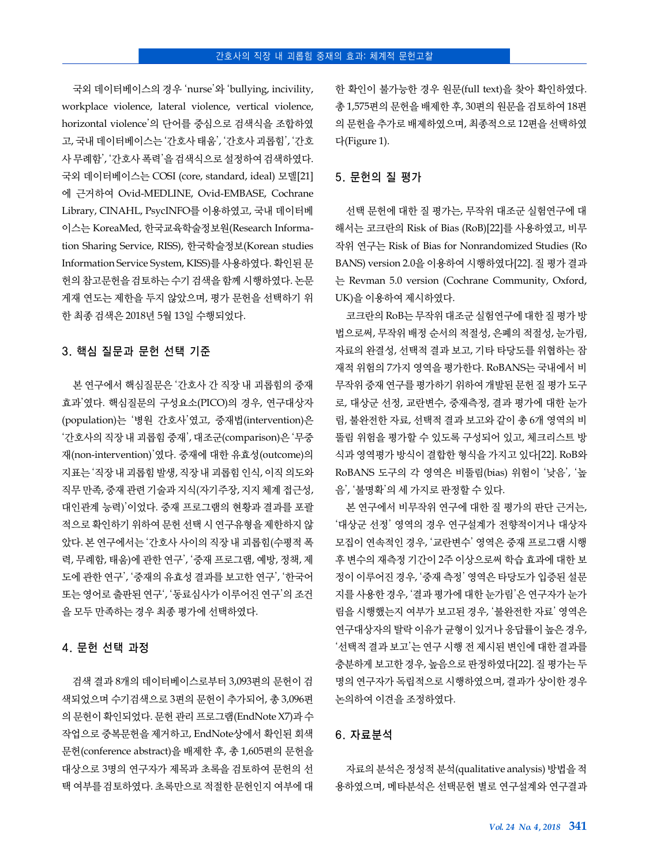국외 데이터베이스의 경우 'nurse'와 'bullying, incivility, workplace violence, lateral violence, vertical violence, horizontal violence'의 단어를 중심으로 검색식을 조합하였 고, 국내 데이터베이스는 '간호사 태움', '간호사 괴롭힘', '간호 사 무례함', '간호사 폭력'을 검색식으로 설정하여 검색하였다. 국외 데이터베이스는 COSI (core, standard, ideal) 모델[21] 에 근거하여 Ovid-MEDLINE, Ovid-EMBASE, Cochrane Library, CINAHL, PsycINFO를 이용하였고, 국내 데이터베 이스는 KoreaMed, 한국교육학술정보원(Research Information Sharing Service, RISS), 한국학술정보(Korean studies Information Service System, KISS)를 사용하였다. 확인된 문 헌의 참고문헌을 검토하는 수기 검색을 함께 시행하였다. 논문 게재 연도는 제한을 두지 않았으며, 평가 문헌을 선택하기 위 한 최종 검색은 2018년 5월 13일 수행되었다.

#### 3. 핵심 질문과 문헌 선택 기준

본 연구에서 핵심질문은 '간호사 간 직장 내 괴롭힘의 중재 효과'였다. 핵심질문의 구성요소(PICO)의 경우, 연구대상자 (population)는 '병원 간호사'였고, 중재법(intervention)은 '간호사의 직장 내 괴롭힘 중재', 대조군(comparison)은 '무중 재(non-intervention)'였다. 중재에 대한 유효성(outcome)의 지표는 '직장 내 괴롭힘 발생, 직장 내 괴롭힘 인식, 이직 의도와 직무 만족, 중재 관련 기술과 지식(자기주장, 지지 체계 접근성, 대인관계 능력)'이었다. 중재 프로그램의 현황과 결과를 포괄 적으로 확인하기 위하여 문헌 선택 시 연구유형을 제한하지 않 았다. 본 연구에서는 '간호사 사이의 직장 내 괴롭힘(수평적 폭 력, 무례함, 태움)에 관한 연구', '중재 프로그램, 예방, 정책, 제 도에 관한 연구', '중재의 유효성 결과를 보고한 연구', '한국어 또는 영어로 출판된 연구', '동료심사가 이루어진 연구'의 조건 을 모두 만족하는 경우 최종 평가에 선택하였다.

#### 4. 문헌 선택 과정

검색 결과 8개의 데이터베이스로부터 3,093편의 문헌이 검 색되었으며 수기검색으로 3편의 문헌이 추가되어, 총 3,096편 의 문헌이 확인되었다. 문헌 관리 프로그램(EndNote X7)과 수 작업으로 중복문헌을 제거하고, EndNote상에서 확인된 회색 문헌(conference abstract)을 배제한 후, 총 1,605편의 문헌을 대상으로 3명의 연구자가 제목과 초록을 검토하여 문헌의 선 택 여부를 검토하였다. 초록만으로 적절한 문헌인지 여부에 대

한 확인이 불가능한 경우 원문(full text)을 찾아 확인하였다. 총 1,575편의 문헌을 배제한 후, 30편의 원문을 검토하여 18편 의 문헌을 추가로 배제하였으며, 최종적으로 12편을 선택하였 다(Figure 1).

## 5. 문헌의 질 평가

선택 문헌에 대한 질 평가는, 무작위 대조군 실험연구에 대 해서는 코크란의 Risk of Bias (RoB)[22]를 사용하였고, 비무 작위 연구는 Risk of Bias for Nonrandomized Studies (Ro BANS) version 2.0을 이용하여 시행하였다[22]. 질 평가 결과 는 Revman 5.0 version (Cochrane Community, Oxford, UK)을 이용하여 제시하였다.

코크란의 RoB는 무작위 대조군 실험연구에 대한 질 평가 방 법으로써, 무작위 배정 순서의 적절성, 은폐의 적절성, 눈가림, 자료의 완결성, 선택적 결과 보고, 기타 타당도를 위협하는 잠 재적 위험의 7가지 영역을 평가한다. RoBANS는 국내에서 비 무작위 중재 연구를 평가하기 위하여 개발된 문헌 질 평가 도구 로, 대상군 선정, 교란변수, 중재측정, 결과 평가에 대한 눈가 림, 불완전한 자료, 선택적 결과 보고와 같이 총 6개 영역의 비 뚤림 위험을 평가할 수 있도록 구성되어 있고, 체크리스트 방 식과 영역평가 방식이 결합한 형식을 가지고 있다[22]. RoB와 RoBANS 도구의 각 영역은 비뚤림(bias) 위험이 '낮음', '높 음', '불명확'의 세 가지로 판정할 수 있다.

본 연구에서 비무작위 연구에 대한 질 평가의 판단 근거는, '대상군 선정' 영역의 경우 연구설계가 전향적이거나 대상자 모집이 연속적인 경우, '교란변수' 영역은 중재 프로그램 시행 후 변수의 재측정 기간이 2주 이상으로써 학습 효과에 대한 보 정이 이루어진 경우, '중재 측정' 영역은 타당도가 입증된 설문 지를 사용한 경우, '결과 평가에 대한 눈가림'은 연구자가 눈가 림을 시행했는지 여부가 보고된 경우, '불완전한 자료' 영역은 연구대상자의 탈락 이유가 균형이 있거나 응답률이 높은 경우, '선택적 결과 보고'는 연구 시행 전 제시된 변인에 대한 결과를 충분하게 보고한 경우, 높음으로 판정하였다[22]. 질 평가는 두 명의 연구자가 독립적으로 시행하였으며, 결과가 상이한 경우 논의하여 이견을 조정하였다.

#### 6. 자료분석

자료의 분석은 정성적 분석(qualitative analysis) 방법을 적 용하였으며, 메타분석은 선택문헌 별로 연구설계와 연구결과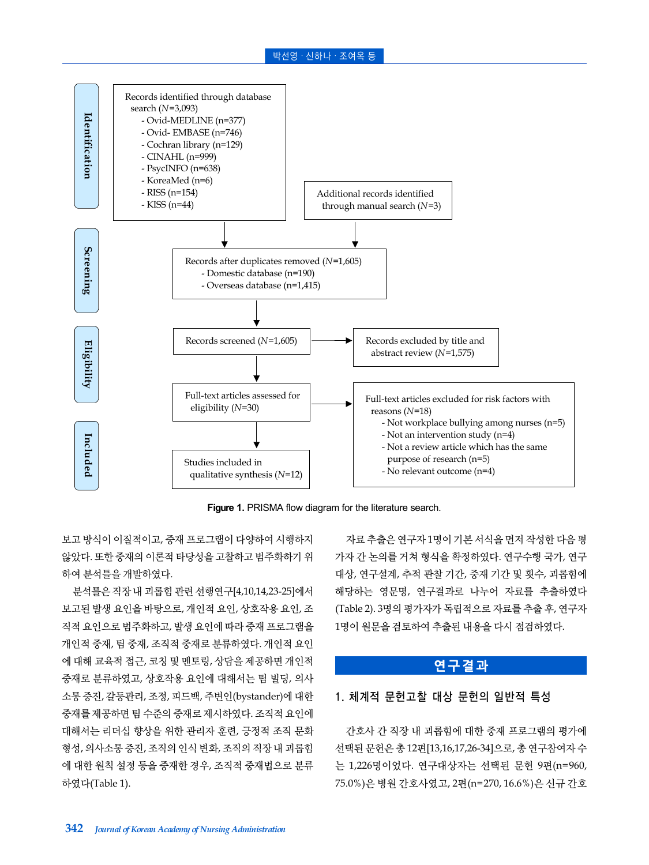#### 박선영 · 신하나 · 조여옥 등



**Figure 1.** PRISMA flow diagram for the literature search.

보고 방식이 이질적이고, 중재 프로그램이 다양하여 시행하지 않았다. 또한 중재의 이론적 타당성을 고찰하고 범주화하기 위 하여 분석틀을 개발하였다.

분석틀은 직장 내 괴롭힘 관련 선행연구[4,10,14,23-25]에서 보고된 발생 요인을 바탕으로, 개인적 요인, 상호작용 요인, 조 직적 요인으로 범주화하고, 발생 요인에 따라 중재 프로그램을 개인적 중재, 팀 중재, 조직적 중재로 분류하였다. 개인적 요인 에 대해 교육적 접근, 코칭 및 멘토링, 상담을 제공하면 개인적 중재로 분류하였고, 상호작용 요인에 대해서는 팀 빌딩, 의사 소통 증진, 갈등관리, 조정, 피드백, 주변인(bystander)에 대한 중재를 제공하면 팀 수준의 중재로 제시하였다. 조직적 요인에 대해서는 리더십 향상을 위한 관리자 훈련, 긍정적 조직 문화 형성, 의사소통 증진, 조직의 인식 변화, 조직의 직장 내 괴롭힘 에 대한 원칙 설정 등을 중재한 경우, 조직적 중재법으로 분류 하였다(Table 1).

자료 추출은 연구자 1명이 기본 서식을 먼저 작성한 다음 평 가자 간 논의를 거쳐 형식을 확정하였다. 연구수행 국가, 연구 대상, 연구설계, 추적 관찰 기간, 중재 기간 및 횟수, 괴롭힘에 해당하는 영문명, 연구결과로 나누어 자료를 추출하였다 (Table 2). 3명의 평가자가 독립적으로 자료를 추출 후, 연구자 1명이 원문을 검토하여 추출된 내용을 다시 점검하였다.

## **연구결과**

#### 1. 체계적 문헌고찰 대상 문헌의 일반적 특성

간호사 간 직장 내 괴롭힘에 대한 중재 프로그램의 평가에 선택된 문헌은 총 12편[13,16,17,26-34]으로, 총 연구참여자 수 는 1,226명이었다. 연구대상자는 선택된 문헌 9편(n=960, 75.0%)은 병원 간호사였고, 2편(n=270, 16.6%)은 신규 간호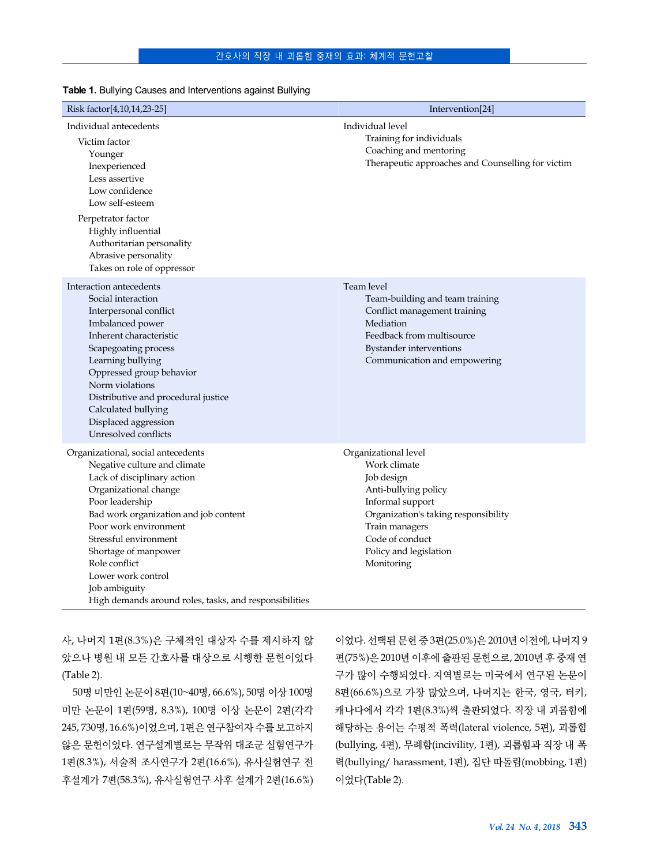#### 간호사의 직장 내 괴롭힘 중재의 효과: 체계적 문헌고찰

| Risk factor[4,10,14,23-25]                                                                                                                                                                                                                                                                                                                                                         | Intervention[24]                                                                                                                                                                                                    |
|------------------------------------------------------------------------------------------------------------------------------------------------------------------------------------------------------------------------------------------------------------------------------------------------------------------------------------------------------------------------------------|---------------------------------------------------------------------------------------------------------------------------------------------------------------------------------------------------------------------|
| Individual antecedents<br>Victim factor<br>Younger<br>Inexperienced<br>Less assertive<br>Low confidence<br>Low self-esteem<br>Perpetrator factor<br>Highly influential<br>Authoritarian personality<br>Abrasive personality<br>Takes on role of oppressor                                                                                                                          | Individual level<br>Training for individuals<br>Coaching and mentoring<br>Therapeutic approaches and Counselling for victim                                                                                         |
| Interaction antecedents<br>Social interaction<br>Interpersonal conflict<br>Imbalanced power<br>Inherent characteristic<br>Scapegoating process<br>Learning bullying<br>Oppressed group behavior<br>Norm violations<br>Distributive and procedural justice<br>Calculated bullying<br>Displaced aggression<br>Unresolved conflicts                                                   | Team level<br>Team-building and team training<br>Conflict management training<br>Mediation<br>Feedback from multisource<br>Bystander interventions<br>Communication and empowering                                  |
| Organizational, social antecedents<br>Negative culture and climate<br>Lack of disciplinary action<br>Organizational change<br>Poor leadership<br>Bad work organization and job content<br>Poor work environment<br>Stressful environment<br>Shortage of manpower<br>Role conflict<br>Lower work control<br>Job ambiguity<br>High demands around roles, tasks, and responsibilities | Organizational level<br>Work climate<br>Job design<br>Anti-bullying policy<br>Informal support<br>Organization's taking responsibility<br>Train managers<br>Code of conduct<br>Policy and legislation<br>Monitoring |

**Table 1.** Bullying Causes and Interventions against Bullying

사, 나머지 1편(8.3%)은 구체적인 대상자 수를 제시하지 않 았으나 병원 내 모든 간호사를 대상으로 시행한 문헌이었다 (Table 2).

50명 미만인 논문이 8편(10~40명, 66.6%), 50명 이상 100명 미만 논문이 1편(59명, 8.3%), 100명 이상 논문이 2편(각각 245, 730명, 16.6%)이었으며, 1편은 연구참여자 수를 보고하지 않은 문헌이었다. 연구설계별로는 무작위 대조군 실험연구가 1편(8.3%), 서술적 조사연구가 2편(16.6%), 유사실험연구 전 후설계가 7편(58.3%), 유사실험연구 사후 설계가 2편(16.6%) 이었다. 선택된 문헌 중 3편(25.0%)은 2010년 이전에, 나머지 9 편(75%)은 2010년 이후에 출판된 문헌으로, 2010년 후 중재 연 구가 많이 수행되었다. 지역별로는 미국에서 연구된 논문이 8편(66.6%)으로 가장 많았으며, 나머지는 한국, 영국, 터키, 캐나다에서 각각 1편(8.3%)씩 출판되었다. 직장 내 괴롭힘에 해당하는 용어는 수평적 폭력(lateral violence, 5편), 괴롭힘 (bullying, 4편), 무례함(incivility, 1편), 괴롭힘과 직장 내 폭 력(bullying/ harassment, 1편), 집단 따돌림(mobbing, 1편) 이었다(Table 2).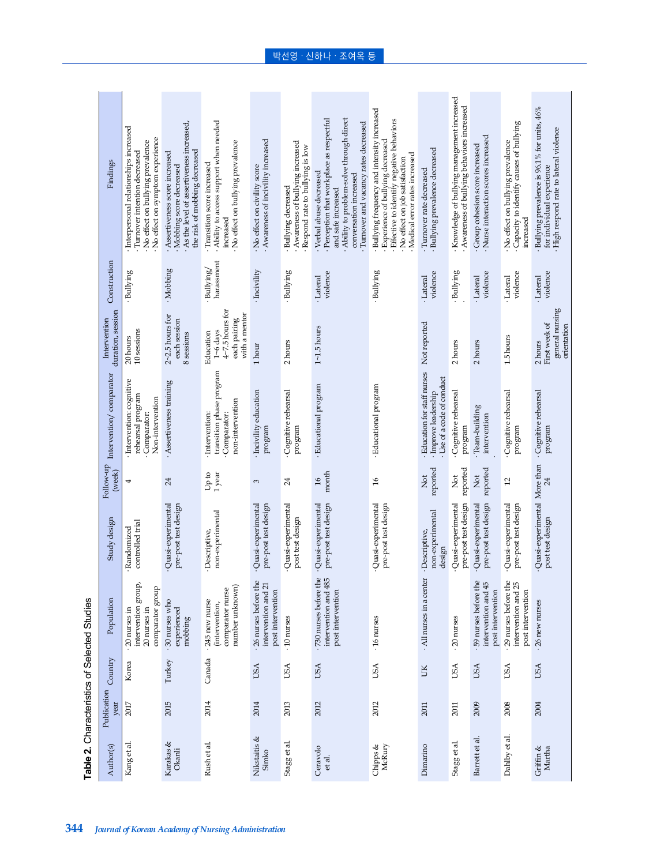| Findings                          | Interpersonal relationships increased<br>No effect on symptom experience<br>No effect on bullying prevalence<br>Turnover intention decreased | As the level of assertiveness increased,<br>the risk of mobbing decreased<br>Assertiveness score increased<br>Mobbing score decreased | Ability to access support when needed<br>No effect on bullying prevalence<br>· Transition score increased<br>increased | Awareness of incivility increased<br>No effect on civility score | Awareness of bullying increased<br>Respond rate to bullying is low<br>· Bullying decreased | Ability to problem-solve through direct<br>Perception that workplace as respectful<br>Turnover and vacancy rates decreased<br>· Verbal abuse decreased<br>conversation increased<br>and safe increased | Bullying frequency and intensity increased<br>· Effective to identify negative behaviors<br>· Experience of bullying decreased<br>Medical error rates increased<br>No effect on job satisfaction | Bullying prevalence decreased<br>Turnover rate decreased                       | · Knowledge of bullying management increased<br>Awareness of bullying behaviors increased | Nurse interaction scores increased<br>· Group cohesion score increased | Capacity to identify causes of bullying<br>No effect on bullying prevalence<br>increased | · Bullying prevalence is 96.1% for units, 46%<br>· High respond rate to lateral violence<br>for individual experience |
|-----------------------------------|----------------------------------------------------------------------------------------------------------------------------------------------|---------------------------------------------------------------------------------------------------------------------------------------|------------------------------------------------------------------------------------------------------------------------|------------------------------------------------------------------|--------------------------------------------------------------------------------------------|--------------------------------------------------------------------------------------------------------------------------------------------------------------------------------------------------------|--------------------------------------------------------------------------------------------------------------------------------------------------------------------------------------------------|--------------------------------------------------------------------------------|-------------------------------------------------------------------------------------------|------------------------------------------------------------------------|------------------------------------------------------------------------------------------|-----------------------------------------------------------------------------------------------------------------------|
| Construction                      | · Bullying                                                                                                                                   | ·Mobbing                                                                                                                              | harassment<br>·Bullying/                                                                                               | · Incivility                                                     | · Bullying                                                                                 | violence<br>·Lateral                                                                                                                                                                                   | · Bullying                                                                                                                                                                                       | violence<br>·Lateral                                                           | · Bullying                                                                                | violence<br>·Lateral                                                   | violence<br>Lateral                                                                      | violence<br>· Lateral                                                                                                 |
| duration, session<br>Intervention | 10 sessions<br>20 hours                                                                                                                      | $2 - 2.5$ hours for<br>each session<br>8 sessions                                                                                     | $4\neg$ 7.5 hours for<br>with a mentor<br>each pairing<br>$1 - 6$ days<br>Education                                    | $1 \, \rm{hour}$                                                 | 2 hours                                                                                    | $1 \sim 1.5$ hours                                                                                                                                                                                     |                                                                                                                                                                                                  | Not reported                                                                   | 2 hours                                                                                   | 2 hours                                                                | 1.5 hours                                                                                | general nursing<br>First week of<br>orientation<br>2hours                                                             |
| Intervention/comparator           | Intervention: cognitive<br>rehearsal program<br>Non-intervention<br>Comparator:                                                              | Assertiveness training                                                                                                                | transition phase program<br>non-intervention<br>Intervention:<br>Comparator:                                           | Incivility education<br>program                                  | Cognitive rehearsal<br>program                                                             | · Educational program                                                                                                                                                                                  | · Educational program                                                                                                                                                                            | Education for staff nurses<br>Use of a code of conduct<br>· Improve leadership | Cognitive rehearsal<br>program                                                            | $Tean-buiding$<br>intervention                                         | Cognitive rehearsal<br>program                                                           | Cognitive rehearsal<br>program                                                                                        |
| Follow-up<br>(week)               | 4                                                                                                                                            | 24                                                                                                                                    | 1 year<br>or d <sub>D</sub>                                                                                            | 3                                                                | 24                                                                                         | month<br>$\frac{8}{1}$                                                                                                                                                                                 | $\frac{6}{2}$                                                                                                                                                                                    | reported<br><b>Z</b>                                                           | reported<br><b>Not</b>                                                                    | reported<br><b>Z</b>                                                   | $\overline{c}$                                                                           | 24                                                                                                                    |
| Study design                      | controlled trial<br>Randomized                                                                                                               | Quasi-experimental<br>pre-post test design                                                                                            | non-experimental<br>Descriptive,                                                                                       | Quasi-experimental<br>pre-post test design                       | Quasi-experimental<br>post test design                                                     | pre-post test design<br>Quasi-experimental                                                                                                                                                             | Quasi-experimental<br>pre-post test design                                                                                                                                                       | non-experimental<br>Descriptive,<br>design                                     | pre-post test design<br>Quasi-experimental                                                | pre-post test design<br>Quasi-experimental                             | Quasi-experimental<br>pre-post test design                                               | Quasi-experimental More than<br>post test design                                                                      |
| Population                        | intervention group,<br>comparator group<br>20 nurses in<br>$20$ nurses in                                                                    | .30 nurses who<br>experienced<br>mobbing                                                                                              | number unknown)<br>comparator nurse<br>.245 new nurse<br>(intervention,                                                | 26 nurses before the<br>intervention and 21<br>post intervention | $\cdot 10$ nurses                                                                          | .730 nurses before the<br>intervention and 485<br>post intervention                                                                                                                                    | $.16$ nurses                                                                                                                                                                                     | All nurses in a center                                                         | $\cdot 20$ nurses                                                                         | 59 nurses before the<br>intervention and 45<br>post intervention       | - 29 nurses before the<br>intervention and 25<br>post intervention                       | $\cdot$ 26 new nurses                                                                                                 |
| Country                           | Korea                                                                                                                                        | Turkey                                                                                                                                | Canada                                                                                                                 | USA                                                              | <b>USA</b>                                                                                 | USA                                                                                                                                                                                                    | USA                                                                                                                                                                                              | ŬК                                                                             | <b>USA</b>                                                                                | USA                                                                    | USA                                                                                      | USA                                                                                                                   |
| Publication<br>year               | 2017                                                                                                                                         | 2015                                                                                                                                  | 2014                                                                                                                   | 2014                                                             | 2013                                                                                       | 2012                                                                                                                                                                                                   | 2012                                                                                                                                                                                             | 2011                                                                           | 2011                                                                                      | 2009                                                                   | 2008                                                                                     | 2004                                                                                                                  |
| Author(s)                         | Kang et al                                                                                                                                   | Karakas &<br>Okanli                                                                                                                   | Rush et al.                                                                                                            | Nikstaitis &<br>Simko                                            | Stagg et al.                                                                               | Ceravolo<br>et al.                                                                                                                                                                                     | Chipps &<br>McRury                                                                                                                                                                               | Dimarino                                                                       | Stagg et al.                                                                              | Barrett et al                                                          | Dahlby et al.                                                                            | Griffin &<br>Martha                                                                                                   |

Table 2. Characteristics of Selected Studies **Table 2.** Characteristics of Selected Studies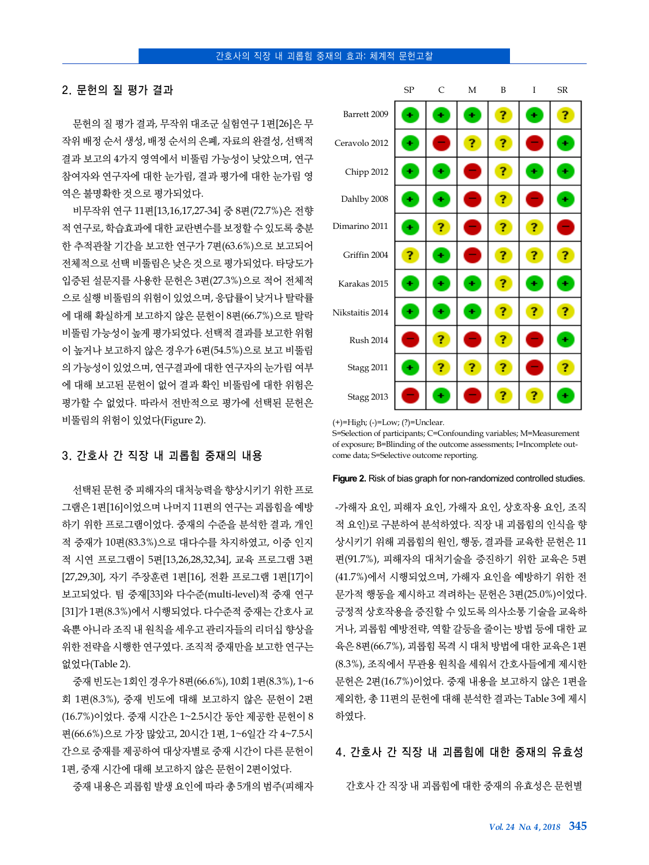## 2. 문헌의 질 평가 결과

문헌의 질 평가 결과, 무작위 대조군 실험연구 1편[26]은 무 작위 배정 순서 생성, 배정 순서의 은폐, 자료의 완결성, 선택적 결과 보고의 4가지 영역에서 비뚤림 가능성이 낮았으며, 연구 참여자와 연구자에 대한 눈가림, 결과 평가에 대한 눈가림 영 역은 불명확한 것으로 평가되었다.

비무작위 연구 11편[13,16,17,27-34] 중 8편(72.7%)은 전향 적 연구로, 학습효과에 대한 교란변수를 보정할 수 있도록 충분 한 추적관찰 기간을 보고한 연구가 7편(63.6%)으로 보고되어 전체적으로 선택 비뚤림은 낮은 것으로 평가되었다. 타당도가 입증된 설문지를 사용한 문헌은 3편(27.3%)으로 적어 전체적 으로 실행 비뚤림의 위험이 있었으며, 응답률이 낮거나 탈락률 에 대해 확실하게 보고하지 않은 문헌이 8편(66.7%)으로 탈락 비뚤림 가능성이 높게 평가되었다. 선택적 결과를 보고한 위험 이 높거나 보고하지 않은 경우가 6편(54.5%)으로 보고 비뚤림 의 가능성이 있었으며, 연구결과에 대한 연구자의 눈가림 여부 에 대해 보고된 문헌이 없어 결과 확인 비뚤림에 대한 위험은 평가할 수 없었다. 따라서 전반적으로 평가에 선택된 문헌은 비뚤림의 위험이 있었다(Figure 2).

## 3. 간호사 간 직장 내 괴롭힘 중재의 내용

선택된 문헌 중 피해자의 대처능력을 향상시키기 위한 프로 그램은 1편[16]이었으며 나머지 11편의 연구는 괴롭힘을 예방 하기 위한 프로그램이었다. 중재의 수준을 분석한 결과, 개인 적 중재가 10편(83.3%)으로 대다수를 차지하였고, 이중 인지 적 시연 프로그램이 5편[13,26,28,32,34], 교육 프로그램 3편 [27,29,30], 자기 주장훈련 1편[16], 전환 프로그램 1편[17]이 보고되었다. 팀 중재[33]와 다수준(multi-level)적 중재 연구 [31]가 1편(8.3%)에서 시행되었다. 다수준적 중재는 간호사 교 육뿐 아니라 조직 내 원칙을 세우고 관리자들의 리더십 향상을 위한 전략을 시행한 연구였다. 조직적 중재만을 보고한 연구는 없었다(Table 2).

중재 빈도는 1회인 경우가 8편(66.6%), 10회 1편(8.3%), 1~6 회 1편(8.3%), 중재 빈도에 대해 보고하지 않은 문헌이 2편 (16.7%)이었다. 중재 시간은 1~2.5시간 동안 제공한 문헌이 8 편(66.6%)으로 가장 많았고, 20시간 1편, 1~6일간 각 4~7.5시 간으로 중재를 제공하여 대상자별로 중재 시간이 다른 문헌이 1편, 중재 시간에 대해 보고하지 않은 문헌이 2편이었다.

중재 내용은 괴롭힘 발생 요인에 따라 총 5개의 범주(피해자

|                   | SP | $\mathsf{C}$ | M | B  | T | <b>SR</b> |
|-------------------|----|--------------|---|----|---|-----------|
| Barrett 2009      | ÷  | ٠            | ٠ | ?  | ٠ | ?         |
| Ceravolo 2012     | ٠  |              | ? | ?  |   | ٠         |
| Chipp 2012        | ٠  | Ŧ            |   | ?  | ÷ | ٠         |
| Dahlby 2008       | ٠  | ٠            |   | Ĩ, |   | ٠         |
| Dimarino 2011     | ٠  | ?            |   | ?  | ? |           |
| Griffin 2004      | ?  | ٠            |   | ?  | 7 | ?         |
| Karakas 2015      | Ŧ  | ٠            | ٠ | Ĩ, | Ŧ | ÷         |
| Nikstaitis 2014   | ٠  | ٠            | ٠ | Ĩ, | 7 | ?         |
| <b>Rush 2014</b>  |    | ?            |   | ?  |   | ٠         |
| Stagg 2011        | ÷  | ?            | ? | ?  |   | ?         |
| <b>Stagg 2013</b> |    |              |   | ?  | ? | ٠         |

<sup>(+)=</sup>High; (-)=Low; (?)=Unclear.

S=Selection of participants; C=Confounding variables; M=Measurement of exposure; B=Blinding of the outcome assessments; I=Incomplete outcome data; S=Selective outcome reporting.

#### **Figure 2.** Risk of bias graph for non-randomized controlled studies.

-가해자 요인, 피해자 요인, 가해자 요인, 상호작용 요인, 조직 적 요인)로 구분하여 분석하였다. 직장 내 괴롭힘의 인식을 향 상시키기 위해 괴롭힘의 원인, 행동, 결과를 교육한 문헌은 11 편(91.7%), 피해자의 대처기술을 증진하기 위한 교육은 5편 (41.7%)에서 시행되었으며, 가해자 요인을 예방하기 위한 전 문가적 행동을 제시하고 격려하는 문헌은 3편(25.0%)이었다. 긍정적 상호작용을 증진할 수 있도록 의사소통 기술을 교육하 거나, 괴롭힘 예방전략, 역할 갈등을 줄이는 방법 등에 대한 교 육은 8편(66.7%), 괴롭힘 목격 시 대처 방법에 대한 교육은 1편 (8.3%), 조직에서 무관용 원칙을 세워서 간호사들에게 제시한 문헌은 2편(16.7%)이었다. 중재 내용을 보고하지 않은 1편을 제외한, 총 11편의 문헌에 대해 분석한 결과는 Table 3에 제시 하였다.

#### 4. 간호사 간 직장 내 괴롭힘에 대한 중재의 유효성

간호사 간 직장 내 괴롭힘에 대한 중재의 유효성은 문헌별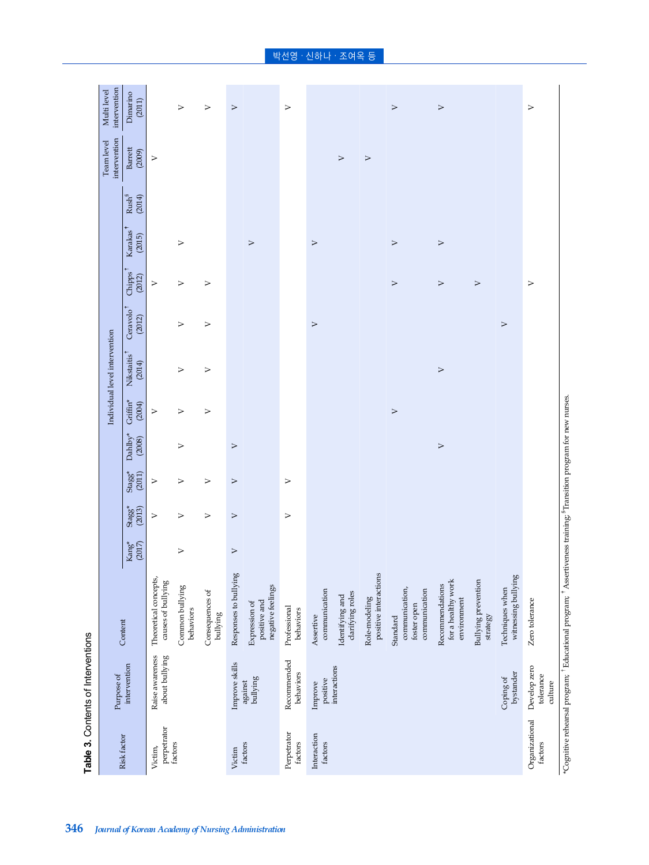|                           | Table 3. Contents of Interventions   |                                                            |                             |                     |                     |                   |                    |                                   |                                 |                               |                         |                                |                            |                             |
|---------------------------|--------------------------------------|------------------------------------------------------------|-----------------------------|---------------------|---------------------|-------------------|--------------------|-----------------------------------|---------------------------------|-------------------------------|-------------------------|--------------------------------|----------------------------|-----------------------------|
|                           | Purpose of                           |                                                            |                             |                     |                     |                   |                    | Individual level intervention     |                                 |                               |                         |                                | intervention<br>Team level | intervention<br>Multi level |
| Risk factor               | intervention                         | Content                                                    | $\mathrm{Kang}^\ast$ (2017) | $Stagg^*$<br>(2013) | $Stagg^*$<br>(2011) | Dahlby*<br>(2008) | Griffin*<br>(2004) | Nikstaitis <sup>1</sup><br>(2014) | Ceravolo <sup>†</sup><br>(2012) | Chipps <sup>†</sup><br>(2012) | g.<br>Karakas<br>(2015) | $\mathrm{Rush}^{\S}$<br>(2014) | Barrett<br>(2009)          | Dimarino<br>(2011)          |
| perpetrator<br>Victim,    | Raise awareness<br>about bullying    | Theoretical concepts,<br>causes of bullying                |                             | $\triangleright$    | ⋗                   |                   | $\triangleright$   |                                   |                                 | ⋗                             |                         |                                | $\triangleright$           |                             |
| factors                   |                                      | Common bullying<br>behaviors                               | $\triangleright$            | $\triangleright$    | $\triangleright$    | $\triangleright$  | $\triangleright$   | $\triangleright$                  | $\triangleright$                | $\triangleright$              | $\triangleright$        |                                |                            | $\triangleright$            |
|                           |                                      | Consequences of<br>bullying                                |                             | $\triangleright$    | $\geq$              |                   | $\triangleright$   | $\geq$                            | $\triangleright$                | $\triangleright$              |                         |                                |                            | $\,>$                       |
| Victim                    | Improve skills                       | Responses to bullying                                      | $\geq$                      | $\,>$               | $\,>$               | $\triangleright$  |                    |                                   |                                 |                               |                         |                                |                            | $\,>$                       |
| factors                   | $\rm{bulying}$<br>against            | negative feelings<br>positive and<br>Expression of         |                             |                     |                     |                   |                    |                                   |                                 |                               | $\triangleright$        |                                |                            |                             |
| Perpetrator<br>factors    | Recommended<br>behaviors             | Professional<br>behaviors                                  |                             | $\geq$              | ⋗                   |                   |                    |                                   |                                 |                               |                         |                                |                            | $\triangleright$            |
| Interaction<br>factors    | positive<br>Improve                  | communication<br>Assertive                                 |                             |                     |                     |                   |                    |                                   | $\,>$                           |                               | $\geq$                  |                                |                            |                             |
|                           | interactions                         | clarifying roles<br>Identifying and                        |                             |                     |                     |                   |                    |                                   |                                 |                               |                         |                                | $\triangleright$           |                             |
|                           |                                      | positive interactions<br>Role-modeling                     |                             |                     |                     |                   |                    |                                   |                                 |                               |                         |                                | $\triangleright$           |                             |
|                           |                                      | communication,<br>communication<br>foster open<br>Standard |                             |                     |                     |                   | $\geq$             |                                   |                                 | $\triangleright$              | $\geq$                  |                                |                            | $\,>$                       |
|                           |                                      | for a healthy work<br>Recommendations<br>environment       |                             |                     |                     | $\triangleright$  |                    | $\triangleright$                  |                                 | $\,>$                         | $\triangleright$        |                                |                            | $\triangleright$            |
|                           |                                      | <b>Bullying prevention</b><br>strategy                     |                             |                     |                     |                   |                    |                                   |                                 | $\triangleright$              |                         |                                |                            |                             |
|                           | bystander<br>Coping of               | witnessing bullying<br>Techniques when                     |                             |                     |                     |                   |                    |                                   | $\triangleright$                |                               |                         |                                |                            |                             |
| Organizational<br>factors | Develop zero<br>tolerance<br>culture | Zero tolerance                                             |                             |                     |                     |                   |                    |                                   |                                 | $\triangleright$              |                         |                                |                            | $\triangleright$            |
|                           |                                      |                                                            |                             |                     |                     |                   |                    |                                   |                                 |                               |                         |                                |                            |                             |

 $\text{``Copnitive released program''},$  Educational program;  $\text{``Assertiveness training''}$  Iransition program for new nurses. \*Cognitive rehearsal program; †Educational program; ‡Assertiveness training; §Transition program for new nurses.

박선영 · 신하나 · 조여옥 등

**346** *Journal of Korean Academy of Nursing Administration*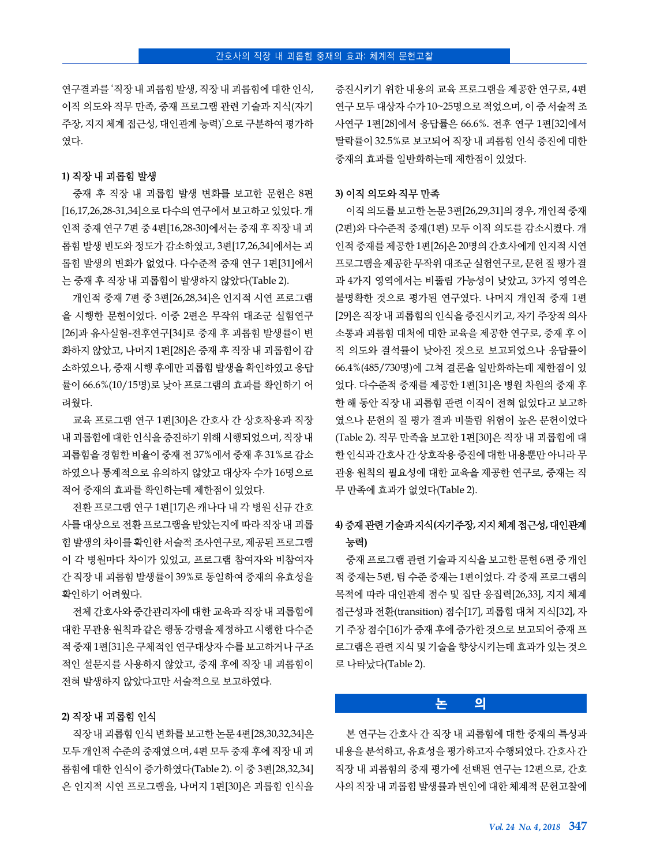연구결과를 '직장 내 괴롭힘 발생, 직장 내 괴롭힘에 대한 인식, 이직 의도와 직무 만족, 중재 프로그램 관련 기술과 지식(자기 주장, 지지 체계 접근성, 대인관계 능력)'으로 구분하여 평가하 였다.

#### **1)** 직장 내 괴롭힘 발생

중재 후 직장 내 괴롭힘 발생 변화를 보고한 문헌은 8편 [16,17,26,28-31,34]으로 다수의 연구에서 보고하고 있었다. 개 인적 중재 연구 7편 중 4편[16,28-30]에서는 중재 후 직장 내 괴 롭힘 발생 빈도와 정도가 감소하였고, 3편[17,26,34]에서는 괴 롭힘 발생의 변화가 없었다. 다수준적 중재 연구 1편[31]에서 는 중재 후 직장 내 괴롭힘이 발생하지 않았다(Table 2).

개인적 중재 7편 중 3편[26,28,34]은 인지적 시연 프로그램 을 시행한 문헌이었다. 이중 2편은 무작위 대조군 실험연구 [26]과 유사실험-전후연구[34]로 중재 후 괴롭힘 발생률이 변 화하지 않았고, 나머지 1편[28]은 중재 후 직장 내 괴롭힘이 감 소하였으나, 중재 시행 후에만 괴롭힘 발생을 확인하였고 응답 률이 66.6%(10/15명)로 낮아 프로그램의 효과를 확인하기 어 려웠다.

교육 프로그램 연구 1편[30]은 간호사 간 상호작용과 직장 내 괴롭힘에 대한 인식을 증진하기 위해 시행되었으며, 직장 내 괴롭힘을 경험한 비율이 중재 전 37%에서 중재 후 31%로 감소 하였으나 통계적으로 유의하지 않았고 대상자 수가 16명으로 적어 중재의 효과를 확인하는데 제한점이 있었다.

전환 프로그램 연구 1편[17]은 캐나다 내 각 병원 신규 간호 사를 대상으로 전환 프로그램을 받았는지에 따라 직장 내 괴롭 힘 발생의 차이를 확인한 서술적 조사연구로, 제공된 프로그램 이 각 병원마다 차이가 있었고, 프로그램 참여자와 비참여자 간 직장 내 괴롭힘 발생률이 39%로 동일하여 중재의 유효성을 확인하기 어려웠다.

전체 간호사와 중간관리자에 대한 교육과 직장 내 괴롭힘에 대한 무관용 원칙과 같은 행동 강령을 제정하고 시행한 다수준 적 중재 1편[31]은 구체적인 연구대상자 수를 보고하거나 구조 적인 설문지를 사용하지 않았고, 중재 후에 직장 내 괴롭힘이 전혀 발생하지 않았다고만 서술적으로 보고하였다.

#### **2)** 직장 내 괴롭힘 인식

직장 내 괴롭힘 인식 변화를 보고한 논문 4편[28,30,32,34]은 모두 개인적 수준의 중재였으며, 4편 모두 중재 후에 직장 내 괴 롭힘에 대한 인식이 증가하였다(Table 2). 이 중 3편[28,32,34] 은 인지적 시연 프로그램을, 나머지 1편[30]은 괴롭힘 인식을 증진시키기 위한 내용의 교육 프로그램을 제공한 연구로, 4편 연구 모두 대상자 수가 10~25명으로 적었으며, 이 중 서술적 조 사연구 1편[28]에서 응답률은 66.6%. 전후 연구 1편[32]에서 탈락률이 32.5%로 보고되어 직장 내 괴롭힘 인식 증진에 대한 중재의 효과를 일반화하는데 제한점이 있었다.

#### **3)** 이직 의도와 직무 만족

이직 의도를 보고한 논문 3편[26,29,31]의 경우, 개인적 중재 (2편)와 다수준적 중재(1편) 모두 이직 의도를 감소시켰다. 개 인적 중재를 제공한 1편[26]은 20명의 간호사에게 인지적 시연 프로그램을 제공한 무작위 대조군 실험연구로, 문헌 질 평가 결 과 4가지 영역에서는 비뚤림 가능성이 낮았고, 3가지 영역은 불명확한 것으로 평가된 연구였다. 나머지 개인적 중재 1편 [29]은 직장 내 괴롭힘의 인식을 증진시키고, 자기 주장적 의사 소통과 괴롭힘 대처에 대한 교육을 제공한 연구로, 중재 후 이 직 의도와 결석률이 낮아진 것으로 보고되었으나 응답률이 66.4%(485/730명)에 그쳐 결론을 일반화하는데 제한점이 있 었다. 다수준적 중재를 제공한 1편[31]은 병원 차원의 중재 후 한 해 동안 직장 내 괴롭힘 관련 이직이 전혀 없었다고 보고하 였으나 문헌의 질 평가 결과 비뚤림 위험이 높은 문헌이었다 (Table 2). 직무 만족을 보고한 1편[30]은 직장 내 괴롭힘에 대 한 인식과 간호사 간 상호작용 증진에 대한 내용뿐만 아니라 무 관용 원칙의 필요성에 대한 교육을 제공한 연구로, 중재는 직 무 만족에 효과가 없었다(Table 2).

## **4)** 중재 관련 기술과 지식**(**자기주장**,** 지지 체계 접근성**,** 대인관계 능력**)**

중재 프로그램 관련 기술과 지식을 보고한 문헌 6편 중 개인 적 중재는 5편, 팀 수준 중재는 1편이었다. 각 중재 프로그램의 목적에 따라 대인관계 점수 및 집단 응집력[26,33], 지지 체계 접근성과 전환(transition) 점수[17], 괴롭힘 대처 지식[32], 자 기 주장 점수[16]가 중재 후에 증가한 것으로 보고되어 중재 프 로그램은 관련 지식 및 기술을 향상시키는데 효과가 있는 것으 로 나타났다(Table 2).

## **논 의**

본 연구는 간호사 간 직장 내 괴롭힘에 대한 중재의 특성과 내용을 분석하고, 유효성을 평가하고자 수행되었다. 간호사 간 직장 내 괴롭힘의 중재 평가에 선택된 연구는 12편으로, 간호 사의 직장 내 괴롭힘 발생률과 변인에 대한 체계적 문헌고찰에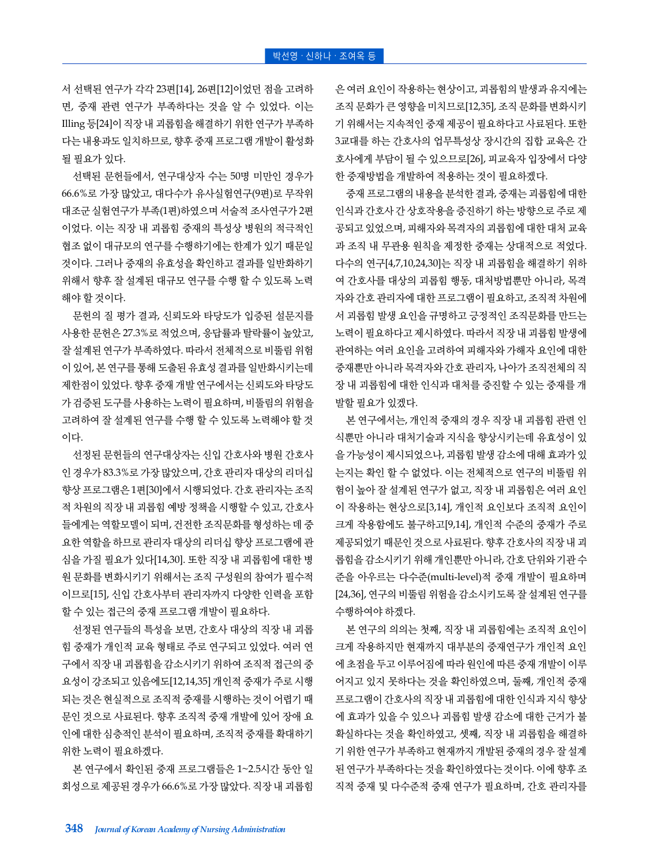서 선택된 연구가 각각 23편[14], 26편[12]이었던 점을 고려하 면, 중재 관련 연구가 부족하다는 것을 알 수 있었다. 이는 Illing 등[24]이 직장 내 괴롭힘을 해결하기 위한 연구가 부족하 다는 내용과도 일치하므로, 향후 중재 프로그램 개발이 활성화 될 필요가 있다.

선택된 문헌들에서, 연구대상자 수는 50명 미만인 경우가 66.6%로 가장 많았고, 대다수가 유사실험연구(9편)로 무작위 대조군 실험연구가 부족(1편)하였으며 서술적 조사연구가 2편 이었다. 이는 직장 내 괴롭힘 중재의 특성상 병원의 적극적인 협조 없이 대규모의 연구를 수행하기에는 한계가 있기 때문일 것이다. 그러나 중재의 유효성을 확인하고 결과를 일반화하기 위해서 향후 잘 설계된 대규모 연구를 수행 할 수 있도록 노력 해야 할 것이다.

문헌의 질 평가 결과, 신뢰도와 타당도가 입증된 설문지를 사용한 문헌은 27.3%로 적었으며, 응답률과 탈락률이 높았고, 잘 설계된 연구가 부족하였다. 따라서 전체적으로 비뚤림 위험 이 있어, 본 연구를 통해 도출된 유효성 결과를 일반화시키는데 제한점이 있었다. 향후 중재 개발 연구에서는 신뢰도와 타당도 가 검증된 도구를 사용하는 노력이 필요하며, 비뚤림의 위험을 고려하여 잘 설계된 연구를 수행 할 수 있도록 노력해야 할 것 이다.

선정된 문헌들의 연구대상자는 신입 간호사와 병원 간호사 인 경우가 83.3%로 가장 많았으며, 간호 관리자 대상의 리더십 향상 프로그램은 1편[30]에서 시행되었다. 간호 관리자는 조직 적 차원의 직장 내 괴롭힘 예방 정책을 시행할 수 있고, 간호사 들에게는 역할모델이 되며, 건전한 조직문화를 형성하는 데 중 요한 역할을 하므로 관리자 대상의 리더십 향상 프로그램에 관 심을 가질 필요가 있다[14,30]. 또한 직장 내 괴롭힘에 대한 병 원 문화를 변화시키기 위해서는 조직 구성원의 참여가 필수적 이므로[15], 신입 간호사부터 관리자까지 다양한 인력을 포함 할 수 있는 접근의 중재 프로그램 개발이 필요하다.

선정된 연구들의 특성을 보면, 간호사 대상의 직장 내 괴롭 힘 중재가 개인적 교육 형태로 주로 연구되고 있었다. 여러 연 구에서 직장 내 괴롭힘을 감소시키기 위하여 조직적 접근의 중 요성이 강조되고 있음에도[12,14,35] 개인적 중재가 주로 시행 되는 것은 현실적으로 조직적 중재를 시행하는 것이 어렵기 때 문인 것으로 사료된다. 향후 조직적 중재 개발에 있어 장애 요 인에 대한 심층적인 분석이 필요하며, 조직적 중재를 확대하기 위한 노력이 필요하겠다.

본 연구에서 확인된 중재 프로그램들은 1~2.5시간 동안 일 회성으로 제공된 경우가 66.6%로 가장 많았다. 직장 내 괴롭힘

은 여러 요인이 작용하는 현상이고, 괴롭힘의 발생과 유지에는 조직 문화가 큰 영향을 미치므로[12,35], 조직 문화를 변화시키 기 위해서는 지속적인 중재 제공이 필요하다고 사료된다. 또한 3교대를 하는 간호사의 업무특성상 장시간의 집합 교육은 간 호사에게 부담이 될 수 있으므로[26], 피교육자 입장에서 다양 한 중재방법을 개발하여 적용하는 것이 필요하겠다.

중재 프로그램의 내용을 분석한 결과, 중재는 괴롭힘에 대한 인식과 간호사 간 상호작용을 증진하기 하는 방향으로 주로 제 공되고 있었으며, 피해자와 목격자의 괴롭힘에 대한 대처 교육 과 조직 내 무관용 원칙을 제정한 중재는 상대적으로 적었다. 다수의 연구[4,7,10,24,30]는 직장 내 괴롭힘을 해결하기 위하 여 간호사를 대상의 괴롭힘 행동, 대처방법뿐만 아니라, 목격 자와 간호 관리자에 대한 프로그램이 필요하고, 조직적 차원에 서 괴롭힘 발생 요인을 규명하고 긍정적인 조직문화를 만드는 노력이 필요하다고 제시하였다. 따라서 직장 내 괴롭힘 발생에 관여하는 여러 요인을 고려하여 피해자와 가해자 요인에 대한 중재뿐만 아니라 목격자와 간호 관리자, 나아가 조직전체의 직 장 내 괴롭힘에 대한 인식과 대처를 증진할 수 있는 중재를 개 발할 필요가 있겠다.

본 연구에서는, 개인적 중재의 경우 직장 내 괴롭힘 관련 인 식뿐만 아니라 대처기술과 지식을 향상시키는데 유효성이 있 을 가능성이 제시되었으나, 괴롭힘 발생 감소에 대해 효과가 있 는지는 확인 할 수 없었다. 이는 전체적으로 연구의 비뚤림 위 험이 높아 잘 설계된 연구가 없고, 직장 내 괴롭힘은 여러 요인 이 작용하는 현상으로[3,14], 개인적 요인보다 조직적 요인이 크게 작용함에도 불구하고[9,14], 개인적 수준의 중재가 주로 제공되었기 때문인 것으로 사료된다. 향후 간호사의 직장 내 괴 롭힘을 감소시키기 위해 개인뿐만 아니라, 간호 단위와 기관 수 준을 아우르는 다수준(multi-level)적 중재 개발이 필요하며 [24,36], 연구의 비뚤림 위험을 감소시키도록 잘 설계된 연구를 수행하여야 하겠다.

본 연구의 의의는 첫째, 직장 내 괴롭힘에는 조직적 요인이 크게 작용하지만 현재까지 대부분의 중재연구가 개인적 요인 에 초점을 두고 이루어짐에 따라 원인에 따른 중재 개발이 이루 어지고 있지 못하다는 것을 확인하였으며, 둘째, 개인적 중재 프로그램이 간호사의 직장 내 괴롭힘에 대한 인식과 지식 향상 에 효과가 있을 수 있으나 괴롭힘 발생 감소에 대한 근거가 불 확실하다는 것을 확인하였고, 셋째, 직장 내 괴롭힘을 해결하 기 위한 연구가 부족하고 현재까지 개발된 중재의 경우 잘 설계 된 연구가 부족하다는 것을 확인하였다는 것이다. 이에 향후 조 직적 중재 및 다수준적 중재 연구가 필요하며, 간호 관리자를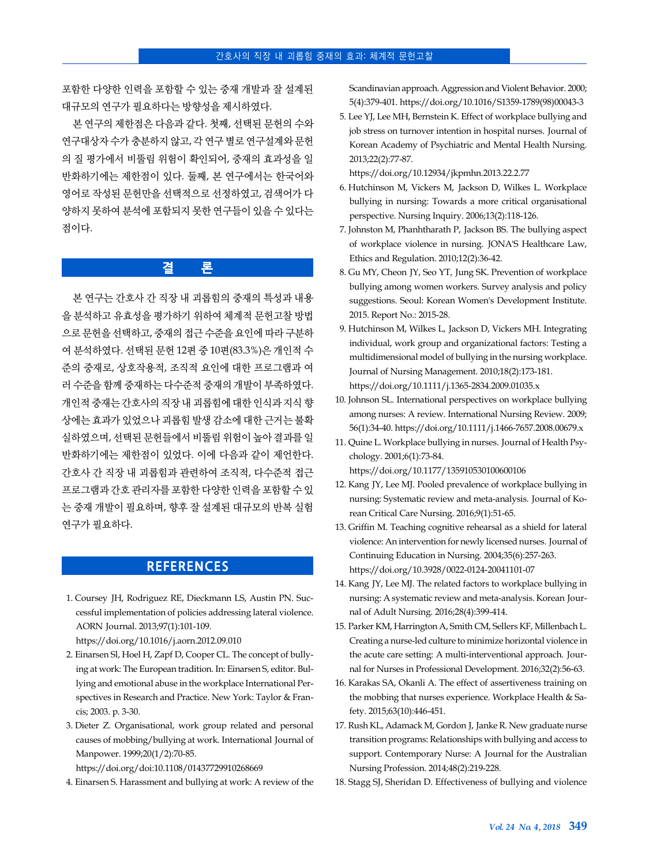포함한 다양한 인력을 포함할 수 있는 중재 개발과 잘 설계된 대규모의 연구가 필요하다는 방향성을 제시하였다.

본 연구의 제한점은 다음과 같다. 첫째, 선택된 문헌의 수와 연구대상자 수가 충분하지 않고, 각 연구 별로 연구설계와 문헌 의 질 평가에서 비뚤림 위험이 확인되어, 중재의 효과성을 일 반화하기에는 제한점이 있다. 둘째, 본 연구에서는 한국어와 영어로 작성된 문헌만을 선택적으로 선정하였고, 검색어가 다 양하지 못하여 분석에 포함되지 못한 연구들이 있을 수 있다는 점이다.

## **결 론**

본 연구는 간호사 간 직장 내 괴롭힘의 중재의 특성과 내용 을 분석하고 유효성을 평가하기 위하여 체계적 문헌고찰 방법 으로 문헌을 선택하고, 중재의 접근 수준을 요인에 따라 구분하 여 분석하였다. 선택된 문헌 12편 중 10편(83.3%)은 개인적 수 준의 중재로, 상호작용적, 조직적 요인에 대한 프로그램과 여 러 수준을 함께 중재하는 다수준적 중재의 개발이 부족하였다. 개인적 중재는 간호사의 직장 내 괴롭힘에 대한 인식과 지식 향 상에는 효과가 있었으나 괴롭힘 발생 감소에 대한 근거는 불확 실하였으며, 선택된 문헌들에서 비뚤림 위험이 높아 결과를 일 반화하기에는 제한점이 있었다. 이에 다음과 같이 제언한다. 간호사 간 직장 내 괴롭힘과 관련하여 조직적, 다수준적 접근 프로그램과 간호 관리자를 포함한 다양한 인력을 포함할 수 있 는 중재 개발이 필요하며, 향후 잘 설계된 대규모의 반복 실험 연구가 필요하다.

# **REFERENCES**

1. Coursey JH, Rodriguez RE, Dieckmann LS, Austin PN. Successful implementation of policies addressing lateral violence. AORN Journal. 2013;97(1):101-109.

https://doi.org/10.1016/j.aorn.2012.09.010

- 2. Einarsen Sl, Hoel H, Zapf D, Cooper CL. The concept of bullying at work: The European tradition. In: Einarsen S, editor. Bullying and emotional abuse in the workplace International Perspectives in Research and Practice. New York: Taylor & Francis; 2003. p. 3-30.
- 3. Dieter Z. Organisational, work group related and personal causes of mobbing/bullying at work. International Journal of Manpower. 1999;20(1/2):70-85.

https://doi.org/doi:10.1108/01437729910268669

4. Einarsen S. Harassment and bullying at work: A review of the

Scandinavian approach. Aggression and Violent Behavior. 2000; 5(4):379-401. [https://doi.org/10.1016/S1359-1789\(98\)00043-3](https://doi.org/10.1016/S1359-1789(98)00043-3)

5. Lee YJ, Lee MH, Bernstein K. Effect of workplace bullying and job stress on turnover intention in hospital nurses. Journal of Korean Academy of Psychiatric and Mental Health Nursing. 2013;22(2):77-87.

https://doi.org/10.12934/jkpmhn.2013.22.2.77

- 6. Hutchinson M, Vickers M, Jackson D, Wilkes L. Workplace bullying in nursing: Towards a more critical organisational perspective. Nursing Inquiry. 2006;13(2):118-126.
- 7. Johnston M, Phanhtharath P, Jackson BS. The bullying aspect of workplace violence in nursing. JONA'S Healthcare Law, Ethics and Regulation. 2010;12(2):36-42.
- 8. Gu MY, Cheon JY, Seo YT, Jung SK. Prevention of workplace bullying among women workers. Survey analysis and policy suggestions. Seoul: Korean Women's Development Institute. 2015. Report No.: 2015-28.
- 9. Hutchinson M, Wilkes L, Jackson D, Vickers MH. Integrating individual, work group and organizational factors: Testing a multidimensional model of bullying in the nursing workplace. Journal of Nursing Management. 2010;18(2):173-181. https://doi.org/10.1111/j.1365-2834.2009.01035.x
- 10. Johnson SL. International perspectives on workplace bullying among nurses: A review. International Nursing Review. 2009; 56(1):34-40. https://doi.org/10.1111/j.1466-7657.2008.00679.x
- 11. Quine L. Workplace bullying in nurses. Journal of Health Psychology. 2001;6(1):73-84. https://doi.org/10.1177/135910530100600106
- 12. Kang JY, Lee MJ. Pooled prevalence of workplace bullying in nursing: Systematic review and meta-analysis. Journal of Korean Critical Care Nursing. 2016;9(1):51-65.
- 13. Griffin M. Teaching cognitive rehearsal as a shield for lateral violence: An intervention for newly licensed nurses. Journal of Continuing Education in Nursing. 2004;35(6):257-263. https://doi.org/10.3928/0022-0124-20041101-07
- 14. Kang JY, Lee MJ. The related factors to workplace bullying in nursing: A systematic review and meta-analysis. Korean Journal of Adult Nursing. 2016;28(4):399-414.
- 15. Parker KM, Harrington A, Smith CM, Sellers KF, Millenbach L. Creating a nurse-led culture to minimize horizontal violence in the acute care setting: A multi-interventional approach. Journal for Nurses in Professional Development. 2016;32(2):56-63.
- 16. Karakas SA, Okanli A. The effect of assertiveness training on the mobbing that nurses experience. Workplace Health & Safety. 2015;63(10):446-451.
- 17. Rush KL, Adamack M, Gordon J, Janke R. New graduate nurse transition programs: Relationships with bullying and access to support. Contemporary Nurse: A Journal for the Australian Nursing Profession. 2014;48(2):219-228.
- 18. Stagg SJ, Sheridan D. Effectiveness of bullying and violence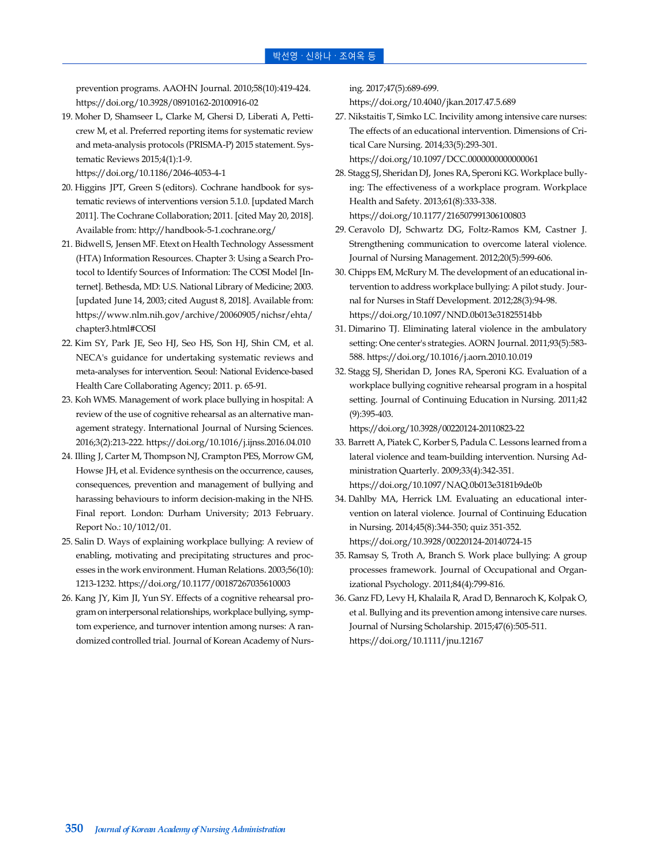prevention programs. AAOHN Journal. 2010;58(10):419-424. https://doi.org/10.3928/08910162-20100916-02

19. Moher D, Shamseer L, Clarke M, Ghersi D, Liberati A, Petticrew M, et al. Preferred reporting items for systematic review and meta-analysis protocols (PRISMA-P) 2015 statement. Systematic Reviews 2015;4(1):1-9.

https://doi.org/10.1186/2046-4053-4-1

- 20. Higgins JPT, Green S (editors). Cochrane handbook for systematic reviews of interventions version 5.1.0. [updated March 2011]. The Cochrane Collaboration; 2011. [cited May 20, 2018]. Available from: http://handbook-5-1.cochrane.org/
- 21. Bidwell S, Jensen MF. Etext on Health Technology Assessment (HTA) Information Resources. Chapter 3: Using a Search Protocol to Identify Sources of Information: The COSI Model [Internet]. Bethesda, MD: U.S. National Library of Medicine; 2003. [updated June 14, 2003; cited August 8, 2018]. Available from: [https://www.nlm.nih.gov/archive/20060905/nichsr/ehta/](https://www.nlm.nih.gov/archive/20060905/nichsr/ehta/chapter3.html#COSI) chapter3.html#COSI
- 22. Kim SY, Park JE, Seo HJ, Seo HS, Son HJ, Shin CM, et al. NECA's guidance for undertaking systematic reviews and meta-analyses for intervention. Seoul: National Evidence-based Health Care Collaborating Agency; 2011. p. 65-91.
- 23. Koh WMS. Management of work place bullying in hospital: A review of the use of cognitive rehearsal as an alternative management strategy. International Journal of Nursing Sciences. 2016;3(2):213-222. https://doi.org/10.1016/j.ijnss.2016.04.010
- 24. Illing J, Carter M, Thompson NJ, Crampton PES, Morrow GM, Howse JH, et al. Evidence synthesis on the occurrence, causes, consequences, prevention and management of bullying and harassing behaviours to inform decision-making in the NHS. Final report. London: Durham University; 2013 February. Report No.: 10/1012/01.
- 25. Salin D. Ways of explaining workplace bullying: A review of enabling, motivating and precipitating structures and processes in the work environment. Human Relations. 2003;56(10): 1213-1232. https://doi.org/10.1177/00187267035610003
- 26. Kang JY, Kim JI, Yun SY. Effects of a cognitive rehearsal program on interpersonal relationships, workplace bullying, symptom experience, and turnover intention among nurses: A randomized controlled trial. Journal of Korean Academy of Nurs-

ing. 2017;47(5):689-699.

https://doi.org/10.4040/jkan.2017.47.5.689

- 27. Nikstaitis T, Simko LC. Incivility among intensive care nurses: The effects of an educational intervention. Dimensions of Critical Care Nursing. 2014;33(5):293-301. https://doi.org/10.1097/DCC.0000000000000061
- 28. Stagg SJ, Sheridan DJ, Jones RA, Speroni KG. Workplace bullying: The effectiveness of a workplace program. Workplace Health and Safety. 2013;61(8):333-338. https://doi.org/10.1177/216507991306100803
- 29. Ceravolo DJ, Schwartz DG, Foltz-Ramos KM, Castner J. Strengthening communication to overcome lateral violence. Journal of Nursing Management. 2012;20(5):599-606.
- 30. Chipps EM, McRury M. The development of an educational intervention to address workplace bullying: A pilot study. Journal for Nurses in Staff Development. 2012;28(3):94-98. https://doi.org/10.1097/NND.0b013e31825514bb
- 31. Dimarino TJ. Eliminating lateral violence in the ambulatory setting: One center's strategies. AORN Journal. 2011;93(5):583- 588. https://doi.org/10.1016/j.aorn.2010.10.019
- 32. Stagg SJ, Sheridan D, Jones RA, Speroni KG. Evaluation of a workplace bullying cognitive rehearsal program in a hospital setting. Journal of Continuing Education in Nursing. 2011;42 (9):395-403.

https://doi.org/10.3928/00220124-20110823-22

- 33. Barrett A, Piatek C, Korber S, Padula C. Lessons learned from a lateral violence and team-building intervention. Nursing Administration Quarterly. 2009;33(4):342-351. https://doi.org/10.1097/NAQ.0b013e3181b9de0b
- 34. Dahlby MA, Herrick LM. Evaluating an educational intervention on lateral violence. Journal of Continuing Education in Nursing. 2014;45(8):344-350; quiz 351-352. https://doi.org/10.3928/00220124-20140724-15
- 35. Ramsay S, Troth A, Branch S. Work place bullying: A group processes framework. Journal of Occupational and Organizational Psychology. 2011;84(4):799-816.
- 36. Ganz FD, Levy H, Khalaila R, Arad D, Bennaroch K, Kolpak O, et al. Bullying and its prevention among intensive care nurses. Journal of Nursing Scholarship. 2015;47(6):505-511. https://doi.org/10.1111/jnu.12167